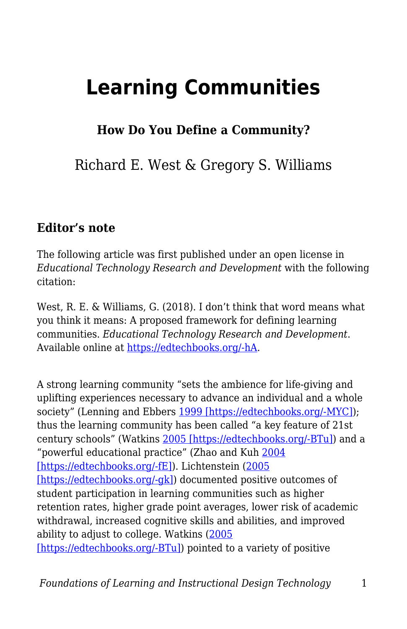# **Learning Communities**

# **How Do You Define a Community?**

Richard E. West & Gregory S. Williams

#### **Editor's note**

The following article was first published under an open license in *Educational Technology Research and Development* with the following citation:

West, R. E. & Williams, G. (2018). I don't think that word means what you think it means: A proposed framework for defining learning communities. *Educational Technology Research and Development*. Available online at [https://edtechbooks.org/-hA](https://link.springer.com/article/10.1007/s11423-017-9535-0).

A strong learning community "sets the ambience for life-giving and uplifting experiences necessary to advance an individual and a whole society" (Lenning and Ebbers [1999 \[https://edtechbooks.org/-MYC\]](https://link.springer.com/article/10.1007/s11423-017-9535-0#CR27)); thus the learning community has been called "a key feature of 21st century schools" (Watkins [2005 \[https://edtechbooks.org/-BTu\]\)](https://link.springer.com/article/10.1007/s11423-017-9535-0#CR44) and a "powerful educational practice" (Zhao and Kuh [2004](https://link.springer.com/article/10.1007/s11423-017-9535-0#CR51) [\[https://edtechbooks.org/-fE\]](https://link.springer.com/article/10.1007/s11423-017-9535-0#CR51)). Lichtenstein ([2005](https://link.springer.com/article/10.1007/s11423-017-9535-0#CR28) [\[https://edtechbooks.org/-gk\]\)](https://link.springer.com/article/10.1007/s11423-017-9535-0#CR28) documented positive outcomes of student participation in learning communities such as higher retention rates, higher grade point averages, lower risk of academic withdrawal, increased cognitive skills and abilities, and improved ability to adjust to college. Watkins ([2005](https://link.springer.com/article/10.1007/s11423-017-9535-0#CR44) [\[https://edtechbooks.org/-BTu\]\)](https://link.springer.com/article/10.1007/s11423-017-9535-0#CR44) pointed to a variety of positive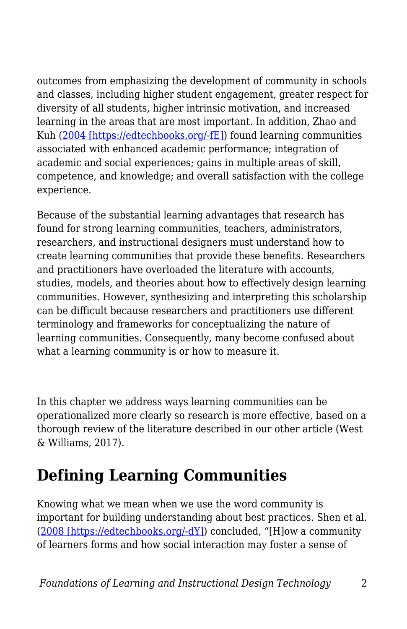outcomes from emphasizing the development of community in schools and classes, including higher student engagement, greater respect for diversity of all students, higher intrinsic motivation, and increased learning in the areas that are most important. In addition, Zhao and Kuh ([2004 \[https://edtechbooks.org/-fE\]\)](https://link.springer.com/article/10.1007/s11423-017-9535-0#CR51) found learning communities associated with enhanced academic performance; integration of academic and social experiences; gains in multiple areas of skill, competence, and knowledge; and overall satisfaction with the college experience.

Because of the substantial learning advantages that research has found for strong learning communities, teachers, administrators, researchers, and instructional designers must understand how to create learning communities that provide these benefits. Researchers and practitioners have overloaded the literature with accounts, studies, models, and theories about how to effectively design learning communities. However, synthesizing and interpreting this scholarship can be difficult because researchers and practitioners use different terminology and frameworks for conceptualizing the nature of learning communities. Consequently, many become confused about what a learning community is or how to measure it.

In this chapter we address ways learning communities can be operationalized more clearly so research is more effective, based on a thorough review of the literature described in our other article (West & Williams, 2017).

# **Defining Learning Communities**

Knowing what we mean when we use the word community is important for building understanding about best practices. Shen et al. ([2008 \[https://edtechbooks.org/-dY\]](https://link.springer.com/article/10.1007/s11423-017-9535-0#CR40)) concluded, "[H]ow a community of learners forms and how social interaction may foster a sense of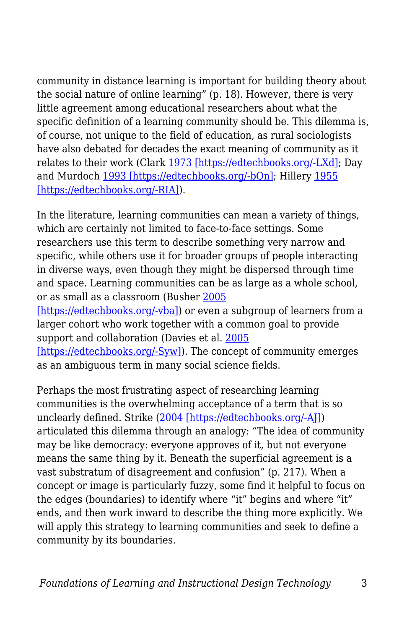community in distance learning is important for building theory about the social nature of online learning" (p. 18). However, there is very little agreement among educational researchers about what the specific definition of a learning community should be. This dilemma is, of course, not unique to the field of education, as rural sociologists have also debated for decades the exact meaning of community as it relates to their work (Clark [1973 \[https://edtechbooks.org/-LXd\]](https://link.springer.com/article/10.1007/s11423-017-9535-0#CR10); Day and Murdoch [1993 \[https://edtechbooks.org/-bQn\]](https://link.springer.com/article/10.1007/s11423-017-9535-0#CR12); Hillery [1955](https://link.springer.com/article/10.1007/s11423-017-9535-0#CR21) [\[https://edtechbooks.org/-RIA\]](https://link.springer.com/article/10.1007/s11423-017-9535-0#CR21)).

In the literature, learning communities can mean a variety of things, which are certainly not limited to face-to-face settings. Some researchers use this term to describe something very narrow and specific, while others use it for broader groups of people interacting in diverse ways, even though they might be dispersed through time and space. Learning communities can be as large as a whole school, or as small as a classroom (Busher [2005](https://link.springer.com/article/10.1007/s11423-017-9535-0#CR7)

[\[https://edtechbooks.org/-vba\]\)](https://link.springer.com/article/10.1007/s11423-017-9535-0#CR7) or even a subgroup of learners from a larger cohort who work together with a common goal to provide support and collaboration (Davies et al. [2005](https://link.springer.com/article/10.1007/s11423-017-9535-0#CR11)

[\[https://edtechbooks.org/-Syw\]](https://link.springer.com/article/10.1007/s11423-017-9535-0#CR11)). The concept of community emerges as an ambiguous term in many social science fields.

Perhaps the most frustrating aspect of researching learning communities is the overwhelming acceptance of a term that is so unclearly defined. Strike [\(2004 \[https://edtechbooks.org/-AJ\]\)](https://link.springer.com/article/10.1007/s11423-017-9535-0#CR42) articulated this dilemma through an analogy: "The idea of community may be like democracy: everyone approves of it, but not everyone means the same thing by it. Beneath the superficial agreement is a vast substratum of disagreement and confusion" (p. 217). When a concept or image is particularly fuzzy, some find it helpful to focus on the edges (boundaries) to identify where "it" begins and where "it" ends, and then work inward to describe the thing more explicitly. We will apply this strategy to learning communities and seek to define a community by its boundaries.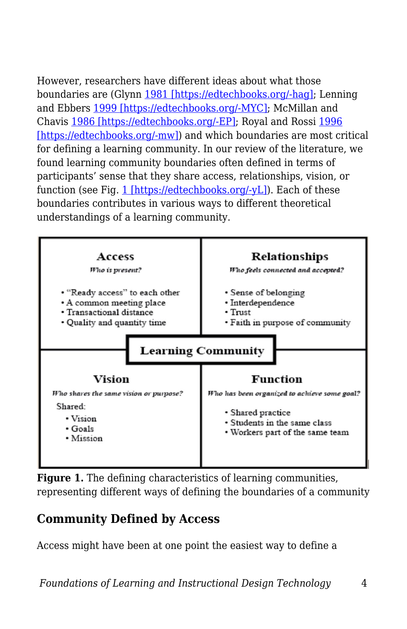However, researchers have different ideas about what those boundaries are (Glynn [1981 \[https://edtechbooks.org/-hag\];](https://link.springer.com/article/10.1007/s11423-017-9535-0#CR16) Lenning and Ebbers [1999 \[https://edtechbooks.org/-MYC\]](https://link.springer.com/article/10.1007/s11423-017-9535-0#CR27); McMillan and Chavis [1986 \[https://edtechbooks.org/-EP\]](https://link.springer.com/article/10.1007/s11423-017-9535-0#CR31); Royal and Rossi [1996](https://link.springer.com/article/10.1007/s11423-017-9535-0#CR37) [\[https://edtechbooks.org/-mw\]\)](https://link.springer.com/article/10.1007/s11423-017-9535-0#CR37) and which boundaries are most critical for defining a learning community. In our review of the literature, we found learning community boundaries often defined in terms of participants' sense that they share access, relationships, vision, or function (see Fig. [1 \[https://edtechbooks.org/-yL\]\)](https://link.springer.com/article/10.1007/s11423-017-9535-0#Fig1). Each of these boundaries contributes in various ways to different theoretical understandings of a learning community.



**Figure 1.** The defining characteristics of learning communities, representing different ways of defining the boundaries of a community

### **Community Defined by Access**

Access might have been at one point the easiest way to define a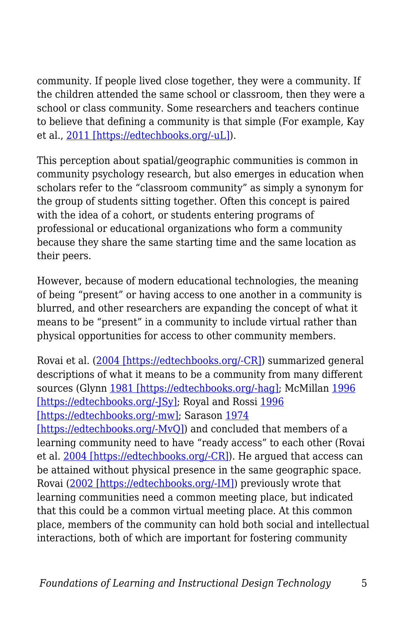community. If people lived close together, they were a community. If the children attended the same school or classroom, then they were a school or class community. Some researchers and teachers continue to believe that defining a community is that simple (For example, Kay et al., [2011 \[https://edtechbooks.org/-uL\]\)](https://link.springer.com/article/10.1007/s11423-017-9535-0#CR23).

This perception about spatial/geographic communities is common in community psychology research, but also emerges in education when scholars refer to the "classroom community" as simply a synonym for the group of students sitting together. Often this concept is paired with the idea of a cohort, or students entering programs of professional or educational organizations who form a community because they share the same starting time and the same location as their peers.

However, because of modern educational technologies, the meaning of being "present" or having access to one another in a community is blurred, and other researchers are expanding the concept of what it means to be "present" in a community to include virtual rather than physical opportunities for access to other community members.

Rovai et al. ([2004 \[https://edtechbooks.org/-CR\]](https://link.springer.com/article/10.1007/s11423-017-9535-0#CR36)) summarized general descriptions of what it means to be a community from many different sources (Glynn [1981 \[https://edtechbooks.org/-hag\]](https://link.springer.com/article/10.1007/s11423-017-9535-0#CR16); McMillan [1996](https://link.springer.com/article/10.1007/s11423-017-9535-0#CR30) [\[https://edtechbooks.org/-JSy\]](https://link.springer.com/article/10.1007/s11423-017-9535-0#CR30); Royal and Rossi [1996](https://link.springer.com/article/10.1007/s11423-017-9535-0#CR37) [\[https://edtechbooks.org/-mw\];](https://link.springer.com/article/10.1007/s11423-017-9535-0#CR37) Sarason [1974](https://link.springer.com/article/10.1007/s11423-017-9535-0#CR38) [\[https://edtechbooks.org/-MvQ\]](https://link.springer.com/article/10.1007/s11423-017-9535-0#CR38)) and concluded that members of a learning community need to have "ready access" to each other (Rovai et al. [2004 \[https://edtechbooks.org/-CR\]\)](https://link.springer.com/article/10.1007/s11423-017-9535-0#CR36). He argued that access can be attained without physical presence in the same geographic space. Rovai ([2002 \[https://edtechbooks.org/-IM\]\)](https://link.springer.com/article/10.1007/s11423-017-9535-0#CR35) previously wrote that learning communities need a common meeting place, but indicated that this could be a common virtual meeting place. At this common place, members of the community can hold both social and intellectual interactions, both of which are important for fostering community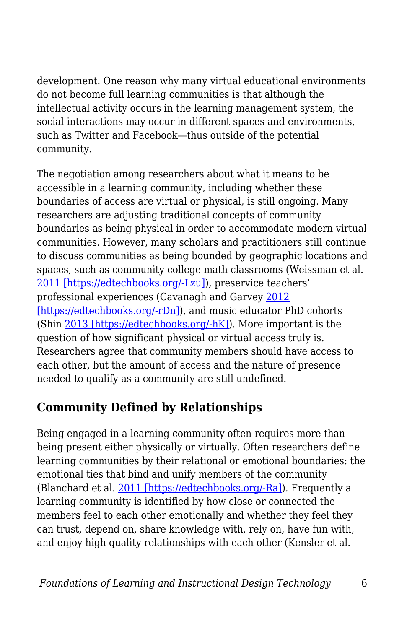development. One reason why many virtual educational environments do not become full learning communities is that although the intellectual activity occurs in the learning management system, the social interactions may occur in different spaces and environments, such as Twitter and Facebook—thus outside of the potential community.

The negotiation among researchers about what it means to be accessible in a learning community, including whether these boundaries of access are virtual or physical, is still ongoing. Many researchers are adjusting traditional concepts of community boundaries as being physical in order to accommodate modern virtual communities. However, many scholars and practitioners still continue to discuss communities as being bounded by geographic locations and spaces, such as community college math classrooms (Weissman et al. [2011 \[https://edtechbooks.org/-Lzu\]\)](https://link.springer.com/article/10.1007/s11423-017-9535-0#CR45), preservice teachers' professional experiences (Cavanagh and Garvey [2012](https://link.springer.com/article/10.1007/s11423-017-9535-0#CR8) [\[https://edtechbooks.org/-rDn\]\)](https://link.springer.com/article/10.1007/s11423-017-9535-0#CR8), and music educator PhD cohorts (Shin [2013 \[https://edtechbooks.org/-hK\]\)](https://link.springer.com/article/10.1007/s11423-017-9535-0#CR41). More important is the question of how significant physical or virtual access truly is. Researchers agree that community members should have access to each other, but the amount of access and the nature of presence needed to qualify as a community are still undefined.

# **Community Defined by Relationships**

Being engaged in a learning community often requires more than being present either physically or virtually. Often researchers define learning communities by their relational or emotional boundaries: the emotional ties that bind and unify members of the community (Blanchard et al. [2011 \[https://edtechbooks.org/-Ra\]](https://link.springer.com/article/10.1007/s11423-017-9535-0#CR3)). Frequently a learning community is identified by how close or connected the members feel to each other emotionally and whether they feel they can trust, depend on, share knowledge with, rely on, have fun with, and enjoy high quality relationships with each other (Kensler et al.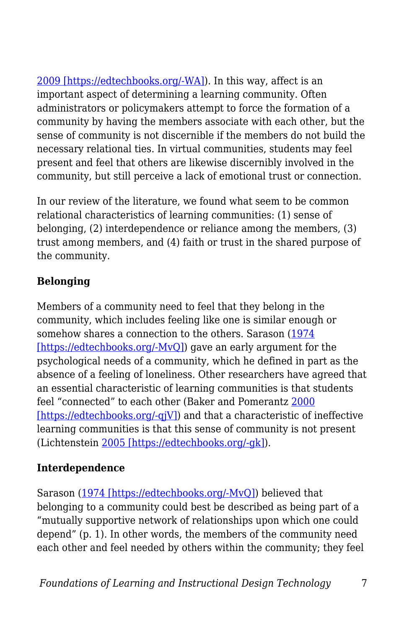[2009 \[https://edtechbooks.org/-WA\]\)](https://link.springer.com/article/10.1007/s11423-017-9535-0#CR24). In this way, affect is an important aspect of determining a learning community. Often administrators or policymakers attempt to force the formation of a community by having the members associate with each other, but the sense of community is not discernible if the members do not build the necessary relational ties. In virtual communities, students may feel present and feel that others are likewise discernibly involved in the community, but still perceive a lack of emotional trust or connection.

In our review of the literature, we found what seem to be common relational characteristics of learning communities: (1) sense of belonging, (2) interdependence or reliance among the members, (3) trust among members, and (4) faith or trust in the shared purpose of the community.

#### **Belonging**

Members of a community need to feel that they belong in the community, which includes feeling like one is similar enough or somehow shares a connection to the others. Sarason [\(1974](https://link.springer.com/article/10.1007/s11423-017-9535-0#CR38) [\[https://edtechbooks.org/-MvQ\]](https://link.springer.com/article/10.1007/s11423-017-9535-0#CR38)) gave an early argument for the psychological needs of a community, which he defined in part as the absence of a feeling of loneliness. Other researchers have agreed that an essential characteristic of learning communities is that students feel "connected" to each other (Baker and Pomerantz [2000](https://link.springer.com/article/10.1007/s11423-017-9535-0#CR2) [\[https://edtechbooks.org/-qjV\]](https://link.springer.com/article/10.1007/s11423-017-9535-0#CR2)) and that a characteristic of ineffective learning communities is that this sense of community is not present (Lichtenstein [2005 \[https://edtechbooks.org/-gk\]](https://link.springer.com/article/10.1007/s11423-017-9535-0#CR28)).

#### **Interdependence**

Sarason [\(1974 \[https://edtechbooks.org/-MvQ\]](https://link.springer.com/article/10.1007/s11423-017-9535-0#CR38)) believed that belonging to a community could best be described as being part of a "mutually supportive network of relationships upon which one could depend" (p. 1). In other words, the members of the community need each other and feel needed by others within the community; they feel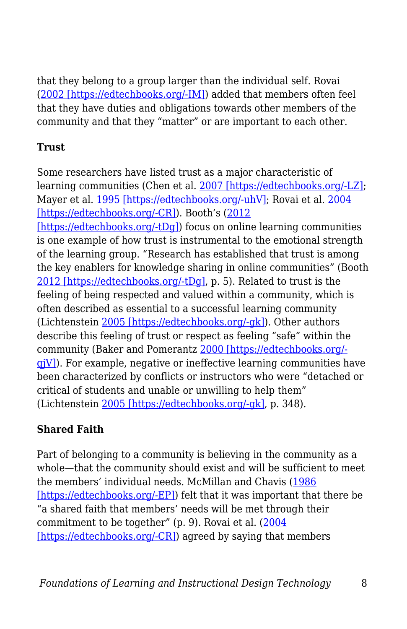that they belong to a group larger than the individual self. Rovai ([2002 \[https://edtechbooks.org/-IM\]](https://link.springer.com/article/10.1007/s11423-017-9535-0#CR35)) added that members often feel that they have duties and obligations towards other members of the community and that they "matter" or are important to each other.

#### **Trust**

Some researchers have listed trust as a major characteristic of learning communities (Chen et al. [2007 \[https://edtechbooks.org/-LZ\];](https://link.springer.com/article/10.1007/s11423-017-9535-0#CR9) Mayer et al. [1995 \[https://edtechbooks.org/-uhV\]](https://link.springer.com/article/10.1007/s11423-017-9535-0#CR29); Rovai et al. [2004](https://link.springer.com/article/10.1007/s11423-017-9535-0#CR36) [\[https://edtechbooks.org/-CR\]](https://link.springer.com/article/10.1007/s11423-017-9535-0#CR36)). Booth's ([2012](https://link.springer.com/article/10.1007/s11423-017-9535-0#CR4) [\[https://edtechbooks.org/-tDg\]](https://link.springer.com/article/10.1007/s11423-017-9535-0#CR4)) focus on online learning communities is one example of how trust is instrumental to the emotional strength of the learning group. "Research has established that trust is among the key enablers for knowledge sharing in online communities" (Booth [2012 \[https://edtechbooks.org/-tDg\],](https://link.springer.com/article/10.1007/s11423-017-9535-0#CR4) p. 5). Related to trust is the feeling of being respected and valued within a community, which is often described as essential to a successful learning community (Lichtenstein [2005 \[https://edtechbooks.org/-gk\]](https://link.springer.com/article/10.1007/s11423-017-9535-0#CR28)). Other authors describe this feeling of trust or respect as feeling "safe" within the community (Baker and Pomerantz [2000 \[https://edtechbooks.org/](https://link.springer.com/article/10.1007/s11423-017-9535-0#CR2)  $q|V|$ ). For example, negative or ineffective learning communities have been characterized by conflicts or instructors who were "detached or critical of students and unable or unwilling to help them" (Lichtenstein [2005 \[https://edtechbooks.org/-gk\]](https://link.springer.com/article/10.1007/s11423-017-9535-0#CR28), p. 348).

### **Shared Faith**

Part of belonging to a community is believing in the community as a whole—that the community should exist and will be sufficient to meet the members' individual needs. McMillan and Chavis [\(1986](https://link.springer.com/article/10.1007/s11423-017-9535-0#CR31) [\[https://edtechbooks.org/-EP\]](https://link.springer.com/article/10.1007/s11423-017-9535-0#CR31)) felt that it was important that there be "a shared faith that members' needs will be met through their commitment to be together" (p. 9). Rovai et al. [\(2004](https://link.springer.com/article/10.1007/s11423-017-9535-0#CR36)) [\[https://edtechbooks.org/-CR\]](https://link.springer.com/article/10.1007/s11423-017-9535-0#CR36)) agreed by saying that members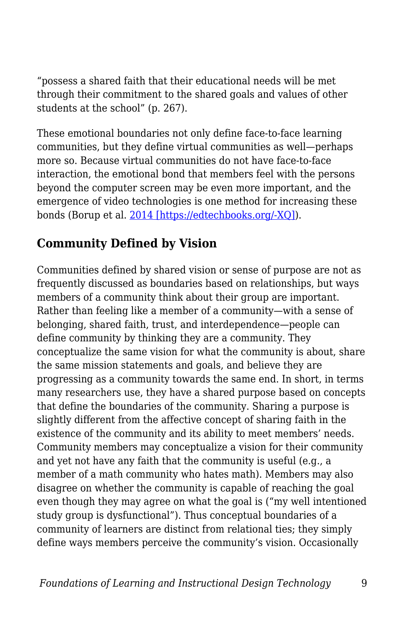"possess a shared faith that their educational needs will be met through their commitment to the shared goals and values of other students at the school" (p. 267).

These emotional boundaries not only define face-to-face learning communities, but they define virtual communities as well—perhaps more so. Because virtual communities do not have face-to-face interaction, the emotional bond that members feel with the persons beyond the computer screen may be even more important, and the emergence of video technologies is one method for increasing these bonds (Borup et al. [2014 \[https://edtechbooks.org/-XQ\]](https://link.springer.com/article/10.1007/s11423-017-9535-0#CR6)).

# **Community Defined by Vision**

Communities defined by shared vision or sense of purpose are not as frequently discussed as boundaries based on relationships, but ways members of a community think about their group are important. Rather than feeling like a member of a community—with a sense of belonging, shared faith, trust, and interdependence—people can define community by thinking they are a community. They conceptualize the same vision for what the community is about, share the same mission statements and goals, and believe they are progressing as a community towards the same end. In short, in terms many researchers use, they have a shared purpose based on concepts that define the boundaries of the community. Sharing a purpose is slightly different from the affective concept of sharing faith in the existence of the community and its ability to meet members' needs. Community members may conceptualize a vision for their community and yet not have any faith that the community is useful (e.g., a member of a math community who hates math). Members may also disagree on whether the community is capable of reaching the goal even though they may agree on what the goal is ("my well intentioned study group is dysfunctional"). Thus conceptual boundaries of a community of learners are distinct from relational ties; they simply define ways members perceive the community's vision. Occasionally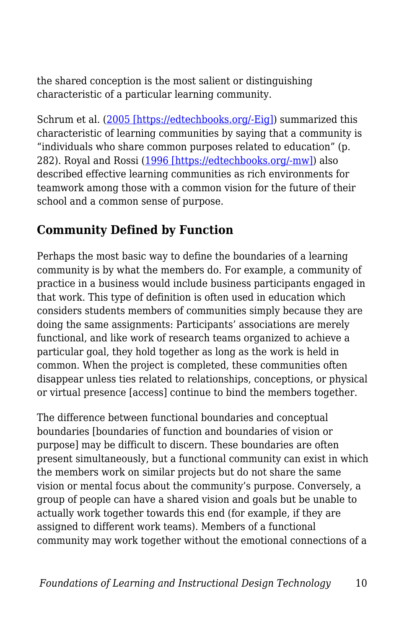the shared conception is the most salient or distinguishing characteristic of a particular learning community.

Schrum et al. ([2005 \[https://edtechbooks.org/-Eig\]](https://link.springer.com/article/10.1007/s11423-017-9535-0#CR39)) summarized this characteristic of learning communities by saying that a community is "individuals who share common purposes related to education" (p. 282). Royal and Rossi [\(1996 \[https://edtechbooks.org/-mw\]\)](https://link.springer.com/article/10.1007/s11423-017-9535-0#CR37) also described effective learning communities as rich environments for teamwork among those with a common vision for the future of their school and a common sense of purpose.

### **Community Defined by Function**

Perhaps the most basic way to define the boundaries of a learning community is by what the members do. For example, a community of practice in a business would include business participants engaged in that work. This type of definition is often used in education which considers students members of communities simply because they are doing the same assignments: Participants' associations are merely functional, and like work of research teams organized to achieve a particular goal, they hold together as long as the work is held in common. When the project is completed, these communities often disappear unless ties related to relationships, conceptions, or physical or virtual presence [access] continue to bind the members together.

The difference between functional boundaries and conceptual boundaries [boundaries of function and boundaries of vision or purpose] may be difficult to discern. These boundaries are often present simultaneously, but a functional community can exist in which the members work on similar projects but do not share the same vision or mental focus about the community's purpose. Conversely, a group of people can have a shared vision and goals but be unable to actually work together towards this end (for example, if they are assigned to different work teams). Members of a functional community may work together without the emotional connections of a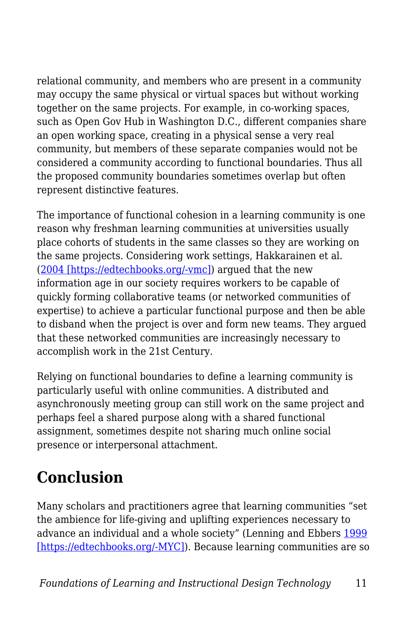relational community, and members who are present in a community may occupy the same physical or virtual spaces but without working together on the same projects. For example, in co-working spaces, such as Open Gov Hub in Washington D.C., different companies share an open working space, creating in a physical sense a very real community, but members of these separate companies would not be considered a community according to functional boundaries. Thus all the proposed community boundaries sometimes overlap but often represent distinctive features.

The importance of functional cohesion in a learning community is one reason why freshman learning communities at universities usually place cohorts of students in the same classes so they are working on the same projects. Considering work settings, Hakkarainen et al. ([2004 \[https://edtechbooks.org/-vmc\]](https://link.springer.com/article/10.1007/s11423-017-9535-0#CR19)) argued that the new information age in our society requires workers to be capable of quickly forming collaborative teams (or networked communities of expertise) to achieve a particular functional purpose and then be able to disband when the project is over and form new teams. They argued that these networked communities are increasingly necessary to accomplish work in the 21st Century.

Relying on functional boundaries to define a learning community is particularly useful with online communities. A distributed and asynchronously meeting group can still work on the same project and perhaps feel a shared purpose along with a shared functional assignment, sometimes despite not sharing much online social presence or interpersonal attachment.

# **Conclusion**

Many scholars and practitioners agree that learning communities "set the ambience for life-giving and uplifting experiences necessary to advance an individual and a whole society" (Lenning and Ebbers [1999](https://link.springer.com/article/10.1007/s11423-017-9535-0#CR27) [\[https://edtechbooks.org/-MYC\]](https://link.springer.com/article/10.1007/s11423-017-9535-0#CR27)). Because learning communities are so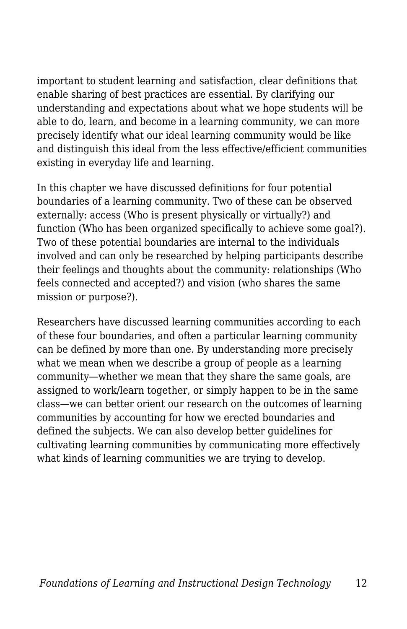important to student learning and satisfaction, clear definitions that enable sharing of best practices are essential. By clarifying our understanding and expectations about what we hope students will be able to do, learn, and become in a learning community, we can more precisely identify what our ideal learning community would be like and distinguish this ideal from the less effective/efficient communities existing in everyday life and learning.

In this chapter we have discussed definitions for four potential boundaries of a learning community. Two of these can be observed externally: access (Who is present physically or virtually?) and function (Who has been organized specifically to achieve some goal?). Two of these potential boundaries are internal to the individuals involved and can only be researched by helping participants describe their feelings and thoughts about the community: relationships (Who feels connected and accepted?) and vision (who shares the same mission or purpose?).

Researchers have discussed learning communities according to each of these four boundaries, and often a particular learning community can be defined by more than one. By understanding more precisely what we mean when we describe a group of people as a learning community—whether we mean that they share the same goals, are assigned to work/learn together, or simply happen to be in the same class—we can better orient our research on the outcomes of learning communities by accounting for how we erected boundaries and defined the subjects. We can also develop better guidelines for cultivating learning communities by communicating more effectively what kinds of learning communities we are trying to develop.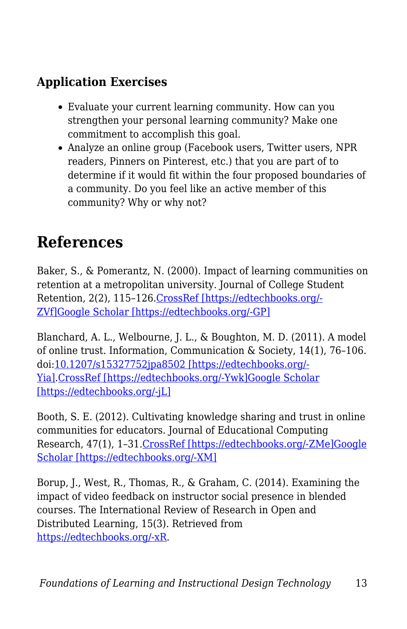# **Application Exercises**

- Evaluate your current learning community. How can you strengthen your personal learning community? Make one commitment to accomplish this goal.
- Analyze an online group (Facebook users, Twitter users, NPR readers, Pinners on Pinterest, etc.) that you are part of to determine if it would fit within the four proposed boundaries of a community. Do you feel like an active member of this community? Why or why not?

# **References**

Baker, S., & Pomerantz, N. (2000). Impact of learning communities on retention at a metropolitan university. Journal of College Student Retention, 2(2), 115–126[.CrossRef \[https://edtechbooks.org/-](https://doi.org/10.2190/62P5-CQ2U-NTUW-DM1C) [ZVf\]](https://doi.org/10.2190/62P5-CQ2U-NTUW-DM1C)[Google Scholar \[https://edtechbooks.org/-GP\]](http://scholar.google.com/scholar_lookup?title=Impact%20of%20learning%20communities%20on%20retention%20at%20a%20metropolitan%20university&author=S.%20Baker&author=N.%20Pomerantz&journal=Journal%20of%20College%20Student%20Retention&volume=2&issue=2&pages=115-126&publication_year=2000)

Blanchard, A. L., Welbourne, J. L., & Boughton, M. D. (2011). A model of online trust. Information, Communication & Society, 14(1), 76–106. doi[:10.1207/s15327752jpa8502 \[https://edtechbooks.org/-](https://doi.org/10.1207/s15327752jpa8502) [Yia\].](https://doi.org/10.1207/s15327752jpa8502)[CrossRef \[https://edtechbooks.org/-Ywk\]](https://doi.org/10.1080/13691181003739633)[Google Scholar](http://scholar.google.com/scholar_lookup?title=A%20model%20of%20online%20trust&author=AL.%20Blanchard&author=JL.%20Welbourne&author=MD.%20Boughton&journal=Information%2C%20Communication%20%26%20Society&volume=14&issue=1&pages=76-106&publication_year=2011&doi=10.1207%2Fs15327752jpa8502) [\[https://edtechbooks.org/-jL\]](http://scholar.google.com/scholar_lookup?title=A%20model%20of%20online%20trust&author=AL.%20Blanchard&author=JL.%20Welbourne&author=MD.%20Boughton&journal=Information%2C%20Communication%20%26%20Society&volume=14&issue=1&pages=76-106&publication_year=2011&doi=10.1207%2Fs15327752jpa8502)

Booth, S. E. (2012). Cultivating knowledge sharing and trust in online communities for educators. Journal of Educational Computing Research, 47(1), 1–31.[CrossRef \[https://edtechbooks.org/-ZMe\]](https://doi.org/10.2190/EC.47.1.a)[Google](http://scholar.google.com/scholar_lookup?title=Cultivating%20knowledge%20sharing%20and%20trust%20in%20online%20communities%20for%20educators&author=SE.%20Booth&journal=Journal%20of%20Educational%20Computing%20Research&volume=47&issue=1&pages=1-31&publication_year=2012) [Scholar \[https://edtechbooks.org/-XM\]](http://scholar.google.com/scholar_lookup?title=Cultivating%20knowledge%20sharing%20and%20trust%20in%20online%20communities%20for%20educators&author=SE.%20Booth&journal=Journal%20of%20Educational%20Computing%20Research&volume=47&issue=1&pages=1-31&publication_year=2012)

Borup, J., West, R., Thomas, R., & Graham, C. (2014). Examining the impact of video feedback on instructor social presence in blended courses. The International Review of Research in Open and Distributed Learning, 15(3). Retrieved from [https://edtechbooks.org/-xR](http://www.irrodl.org/index.php/irrodl/article/view/1821).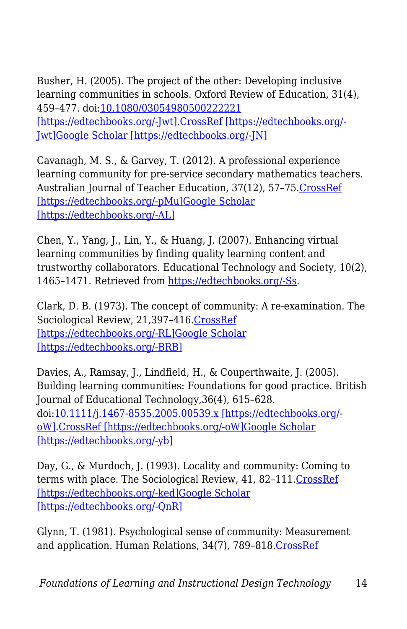Busher, H. (2005). The project of the other: Developing inclusive learning communities in schools. Oxford Review of Education, 31(4), 459–477. doi:[10.1080/03054980500222221](https://doi.org/10.1080/03054980500222221) [\[https://edtechbooks.org/-Jwt\].CrossRef \[https://edtechbooks.org/-](https://doi.org/10.1080/03054980500222221) [Jwt\]](https://doi.org/10.1080/03054980500222221)[Google Scholar \[https://edtechbooks.org/-JN\]](http://scholar.google.com/scholar_lookup?title=The%20project%20of%20the%20other%3A%20Developing%20inclusive%20learning%20communities%20in%20schools&author=H.%20Busher&journal=Oxford%20Review%20of%20Education&volume=31&issue=4&pages=459-477&publication_year=2005&doi=10.1080%2F03054980500222221)

Cavanagh, M. S., & Garvey, T. (2012). A professional experience learning community for pre-service secondary mathematics teachers. Australian Journal of Teacher Education, 37(12), 57–75[.CrossRef](https://doi.org/10.14221/ajte.2012v37n12.4) [\[https://edtechbooks.org/-pMu\]](https://doi.org/10.14221/ajte.2012v37n12.4)[Google Scholar](http://scholar.google.com/scholar_lookup?title=A%20professional%20experience%20learning%20community%20for%20pre-service%20secondary%20mathematics%20teachers&author=MS.%20Cavanagh&author=T.%20Garvey&journal=Australian%20Journal%20of%20Teacher%20Education&volume=37&issue=12&pages=57-75&publication_year=2012) [\[https://edtechbooks.org/-AL\]](http://scholar.google.com/scholar_lookup?title=A%20professional%20experience%20learning%20community%20for%20pre-service%20secondary%20mathematics%20teachers&author=MS.%20Cavanagh&author=T.%20Garvey&journal=Australian%20Journal%20of%20Teacher%20Education&volume=37&issue=12&pages=57-75&publication_year=2012)

Chen, Y., Yang, J., Lin, Y., & Huang, J. (2007). Enhancing virtual learning communities by finding quality learning content and trustworthy collaborators. Educational Technology and Society, 10(2), 1465–1471. Retrieved from [https://edtechbooks.org/-Ss.](http://dspace.lib.fcu.edu.tw/handle/2377/3722)

Clark, D. B. (1973). The concept of community: A re-examination. The Sociological Review, 21,397–416.[CrossRef](https://doi.org/10.1111/j.1467-954X.1973.tb00230.x) [\[https://edtechbooks.org/-RL\]](https://doi.org/10.1111/j.1467-954X.1973.tb00230.x)[Google Scholar](http://scholar.google.com/scholar_lookup?title=The%20concept%20of%20community%3A%20A%20re-examination&author=DB.%20Clark&journal=The%20Sociological%20Review&volume=21&pages=397-416&publication_year=1973) [\[https://edtechbooks.org/-BRB\]](http://scholar.google.com/scholar_lookup?title=The%20concept%20of%20community%3A%20A%20re-examination&author=DB.%20Clark&journal=The%20Sociological%20Review&volume=21&pages=397-416&publication_year=1973)

Davies, A., Ramsay, J., Lindfield, H., & Couperthwaite, J. (2005). Building learning communities: Foundations for good practice. British Journal of Educational Technology,36(4), 615–628. doi[:10.1111/j.1467-8535.2005.00539.x \[https://edtechbooks.org/](https://doi.org/10.1111/j.1467-8535.2005.00539.x) [oW\].CrossRef \[https://edtechbooks.org/-oW\]](https://doi.org/10.1111/j.1467-8535.2005.00539.x)[Google Scholar](http://scholar.google.com/scholar_lookup?title=Building%20learning%20communities%3A%20Foundations%20for%20good%20practice&author=A.%20Davies&author=J.%20Ramsay&author=H.%20Lindfield&author=J.%20Couperthwaite&journal=British%20Journal%20of%20Educational%20Technology&volume=36&issue=4&pages=615-628&publication_year=2005&doi=10.1111%2Fj.1467-8535.2005.00539.x) [\[https://edtechbooks.org/-yb\]](http://scholar.google.com/scholar_lookup?title=Building%20learning%20communities%3A%20Foundations%20for%20good%20practice&author=A.%20Davies&author=J.%20Ramsay&author=H.%20Lindfield&author=J.%20Couperthwaite&journal=British%20Journal%20of%20Educational%20Technology&volume=36&issue=4&pages=615-628&publication_year=2005&doi=10.1111%2Fj.1467-8535.2005.00539.x)

Day, G., & Murdoch, J. (1993). Locality and community: Coming to terms with place. The Sociological Review, 41, 82–111[.CrossRef](https://doi.org/10.1111/j.1467-954X.1993.tb02955.x) [\[https://edtechbooks.org/-ked\]](https://doi.org/10.1111/j.1467-954X.1993.tb02955.x)[Google Scholar](http://scholar.google.com/scholar_lookup?title=Locality%20and%20community%3A%20Coming%20to%20terms%20with%20place&author=G.%20Day&author=J.%20Murdoch&journal=The%20Sociological%20Review&volume=41&pages=82-111&publication_year=1993) [\[https://edtechbooks.org/-QnR\]](http://scholar.google.com/scholar_lookup?title=Locality%20and%20community%3A%20Coming%20to%20terms%20with%20place&author=G.%20Day&author=J.%20Murdoch&journal=The%20Sociological%20Review&volume=41&pages=82-111&publication_year=1993)

Glynn, T. (1981). Psychological sense of community: Measurement and application. Human Relations, 34(7), 789–818[.CrossRef](https://doi.org/10.1177/001872678103400904)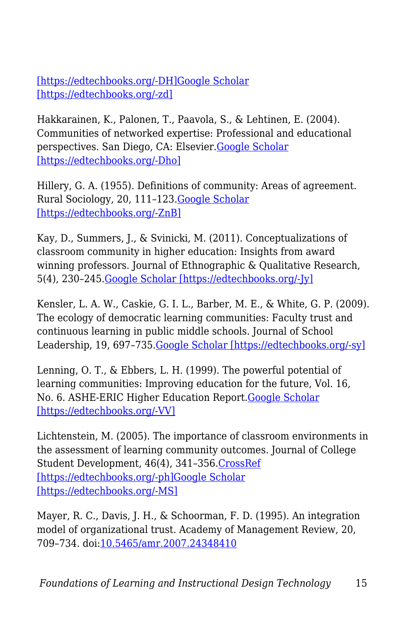[\[https://edtechbooks.org/-DH\]](https://doi.org/10.1177/001872678103400904)[Google Scholar](http://scholar.google.com/scholar_lookup?title=Psychological%20sense%20of%20community%3A%20Measurement%20and%20application&author=T.%20Glynn&journal=Human%20Relations&volume=34&issue=7&pages=789-818&publication_year=1981) [\[https://edtechbooks.org/-zd\]](http://scholar.google.com/scholar_lookup?title=Psychological%20sense%20of%20community%3A%20Measurement%20and%20application&author=T.%20Glynn&journal=Human%20Relations&volume=34&issue=7&pages=789-818&publication_year=1981)

Hakkarainen, K., Palonen, T., Paavola, S., & Lehtinen, E. (2004). Communities of networked expertise: Professional and educational perspectives. San Diego, CA: Elsevier.[Google Scholar](http://scholar.google.com/scholar_lookup?title=Communities%20of%20networked%20expertise%3A%20Professional%20and%20educational%20perspectives&author=K.%20Hakkarainen&author=T.%20Palonen&author=S.%20Paavola&author=E.%20Lehtinen&publication_year=2004) [\[https://edtechbooks.org/-Dho\]](http://scholar.google.com/scholar_lookup?title=Communities%20of%20networked%20expertise%3A%20Professional%20and%20educational%20perspectives&author=K.%20Hakkarainen&author=T.%20Palonen&author=S.%20Paavola&author=E.%20Lehtinen&publication_year=2004)

Hillery, G. A. (1955). Definitions of community: Areas of agreement. Rural Sociology, 20, 111–123.[Google Scholar](http://scholar.google.com/scholar_lookup?title=Definitions%20of%20community%3A%20Areas%20of%20agreement&author=GA.%20Hillery&journal=Rural%20Sociology&volume=20&pages=111-123&publication_year=1955) [\[https://edtechbooks.org/-ZnB\]](http://scholar.google.com/scholar_lookup?title=Definitions%20of%20community%3A%20Areas%20of%20agreement&author=GA.%20Hillery&journal=Rural%20Sociology&volume=20&pages=111-123&publication_year=1955)

Kay, D., Summers, J., & Svinicki, M. (2011). Conceptualizations of classroom community in higher education: Insights from award winning professors. Journal of Ethnographic & Qualitative Research, 5(4), 230–245.[Google Scholar \[https://edtechbooks.org/-Jy\]](http://scholar.google.com/scholar_lookup?title=Conceptualizations%20of%20classroom%20community%20in%20higher%20education%3A%20Insights%20from%20award%20winning%20professors&author=D.%20Kay&author=J.%20Summers&author=M.%20Svinicki&journal=Journal%20of%20Ethnographic%20%26%20Qualitative%20Research&volume=5&issue=4&pages=230-245&publication_year=2011)

Kensler, L. A. W., Caskie, G. I. L., Barber, M. E., & White, G. P. (2009). The ecology of democratic learning communities: Faculty trust and continuous learning in public middle schools. Journal of School Leadership, 19, 697–735.[Google Scholar \[https://edtechbooks.org/-sy\]](http://scholar.google.com/scholar_lookup?title=The%20ecology%20of%20democratic%20learning%20communities%3A%20Faculty%20trust%20and%20continuous%20learning%20in%20public%20middle%20schools&author=LAW.%20Kensler&author=GIL.%20Caskie&author=ME.%20Barber&author=GP.%20White&journal=Journal%20of%20School%20Leadership&volume=19&pages=697-735&publication_year=2009)

Lenning, O. T., & Ebbers, L. H. (1999). The powerful potential of learning communities: Improving education for the future, Vol. 16, No. 6. ASHE-ERIC Higher Education Report[.Google Scholar](https://scholar.google.com/scholar?q=Lenning%2C%20O.%20T.%2C%20%26%20Ebbers%2C%20L.%20H.%20%281999%29.%20The%20powerful%20potential%20of%20learning%20communities%3A%20Improving%20education%20for%20the%20future%2C%20Vol.%2016%2C%20No.%206.%20ASHE-ERIC%20Higher%20Education%20Report.) [\[https://edtechbooks.org/-VV\]](https://scholar.google.com/scholar?q=Lenning%2C%20O.%20T.%2C%20%26%20Ebbers%2C%20L.%20H.%20%281999%29.%20The%20powerful%20potential%20of%20learning%20communities%3A%20Improving%20education%20for%20the%20future%2C%20Vol.%2016%2C%20No.%206.%20ASHE-ERIC%20Higher%20Education%20Report.)

Lichtenstein, M. (2005). The importance of classroom environments in the assessment of learning community outcomes. Journal of College Student Development, 46(4), 341–356[.CrossRef](https://doi.org/10.1353/csd.2005.0038) [\[https://edtechbooks.org/-ph\]](https://doi.org/10.1353/csd.2005.0038)[Google Scholar](http://scholar.google.com/scholar_lookup?title=The%20importance%20of%20classroom%20environments%20in%20the%20assessment%20of%20learning%20community%20outcomes&author=M.%20Lichtenstein&journal=Journal%20of%20College%20Student%20Development&volume=46&issue=4&pages=341-356&publication_year=2005) [\[https://edtechbooks.org/-MS\]](http://scholar.google.com/scholar_lookup?title=The%20importance%20of%20classroom%20environments%20in%20the%20assessment%20of%20learning%20community%20outcomes&author=M.%20Lichtenstein&journal=Journal%20of%20College%20Student%20Development&volume=46&issue=4&pages=341-356&publication_year=2005)

Mayer, R. C., Davis, J. H., & Schoorman, F. D. (1995). An integration model of organizational trust. Academy of Management Review, 20, 709–734. doi:[10.5465/amr.2007.24348410](https://doi.org/10.5465/amr.2007.24348410)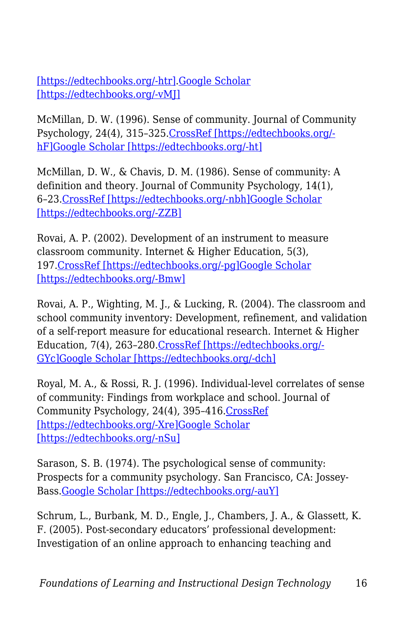[\[https://edtechbooks.org/-htr\]](https://doi.org/10.5465/amr.2007.24348410).[Google Scholar](http://scholar.google.com/scholar_lookup?title=An%20integration%20model%20of%20organizational%20trust&author=RC.%20Mayer&author=JH.%20Davis&author=FD.%20Schoorman&journal=Academy%20of%20Management%20Review&volume=20&pages=709-734&publication_year=1995&doi=10.5465%2Famr.2007.24348410) [\[https://edtechbooks.org/-vMJ\]](http://scholar.google.com/scholar_lookup?title=An%20integration%20model%20of%20organizational%20trust&author=RC.%20Mayer&author=JH.%20Davis&author=FD.%20Schoorman&journal=Academy%20of%20Management%20Review&volume=20&pages=709-734&publication_year=1995&doi=10.5465%2Famr.2007.24348410)

McMillan, D. W. (1996). Sense of community. Journal of Community Psychology, 24(4), 315–325[.CrossRef \[https://edtechbooks.org/](https://doi.org/10.1002/(SICI)1520-6629(199610)24%3A4%3C315%3A%3AAID-JCOP2%3E3.0.CO%3B2-T) [hF\]](https://doi.org/10.1002/(SICI)1520-6629(199610)24%3A4%3C315%3A%3AAID-JCOP2%3E3.0.CO%3B2-T)[Google Scholar \[https://edtechbooks.org/-ht\]](http://scholar.google.com/scholar_lookup?title=Sense%20of%20community&author=DW.%20McMillan&journal=Journal%20of%20Community%20Psychology&volume=24&issue=4&pages=315-325&publication_year=1996)

McMillan, D. W., & Chavis, D. M. (1986). Sense of community: A definition and theory. Journal of Community Psychology, 14(1), 6–23.[CrossRef \[https://edtechbooks.org/-nbh\]](https://doi.org/10.1002/1520-6629(198601)14%3A1%3C6%3A%3AAID-JCOP2290140103%3E3.0.CO%3B2-I)[Google Scholar](http://scholar.google.com/scholar_lookup?title=Sense%20of%20community%3A%20A%20definition%20and%20theory&author=DW.%20McMillan&author=DM.%20Chavis&journal=Journal%20of%20Community%20Psychology&volume=14&issue=1&pages=6-23&publication_year=1986) [\[https://edtechbooks.org/-ZZB\]](http://scholar.google.com/scholar_lookup?title=Sense%20of%20community%3A%20A%20definition%20and%20theory&author=DW.%20McMillan&author=DM.%20Chavis&journal=Journal%20of%20Community%20Psychology&volume=14&issue=1&pages=6-23&publication_year=1986)

Rovai, A. P. (2002). Development of an instrument to measure classroom community. Internet & Higher Education, 5(3), 197[.CrossRef \[https://edtechbooks.org/-pg\]](https://doi.org/10.1016/S1096-7516(02)00102-1)[Google Scholar](http://scholar.google.com/scholar_lookup?title=Development%20of%20an%20instrument%20to%20measure%20classroom%20community&author=AP.%20Rovai&journal=Internet%20%26%20Higher%20Education&volume=5&issue=3&pages=197&publication_year=2002) [\[https://edtechbooks.org/-Bmw\]](http://scholar.google.com/scholar_lookup?title=Development%20of%20an%20instrument%20to%20measure%20classroom%20community&author=AP.%20Rovai&journal=Internet%20%26%20Higher%20Education&volume=5&issue=3&pages=197&publication_year=2002)

Rovai, A. P., Wighting, M. J., & Lucking, R. (2004). The classroom and school community inventory: Development, refinement, and validation of a self-report measure for educational research. Internet & Higher Education, 7(4), 263–280.[CrossRef \[https://edtechbooks.org/-](https://doi.org/10.1016/j.iheduc.2004.09.001) [GYc\]](https://doi.org/10.1016/j.iheduc.2004.09.001)[Google Scholar \[https://edtechbooks.org/-dch\]](http://scholar.google.com/scholar_lookup?title=The%20classroom%20and%20school%20community%20inventory%3A%20Development%2C%20refinement%2C%20and%20validation%20of%20a%20self-report%20measure%20for%20educational%20research&author=AP.%20Rovai&author=MJ.%20Wighting&author=R.%20Lucking&journal=Internet%20%26%20Higher%20Education&volume=7&issue=4&pages=263-280&publication_year=2004)

Royal, M. A., & Rossi, R. J. (1996). Individual-level correlates of sense of community: Findings from workplace and school. Journal of Community Psychology, 24(4), 395–416.[CrossRef](https://doi.org/10.1002/(SICI)1520-6629(199610)24%3A4%3C395%3A%3AAID-JCOP8%3E3.0.CO%3B2-T) [\[https://edtechbooks.org/-Xre\]](https://doi.org/10.1002/(SICI)1520-6629(199610)24%3A4%3C395%3A%3AAID-JCOP8%3E3.0.CO%3B2-T)[Google Scholar](http://scholar.google.com/scholar_lookup?title=Individual-level%20correlates%20of%20sense%20of%20community%3A%20Findings%20from%20workplace%20and%20school&author=MA.%20Royal&author=RJ.%20Rossi&journal=Journal%20of%20Community%20Psychology&volume=24&issue=4&pages=395-416&publication_year=1996) [\[https://edtechbooks.org/-nSu\]](http://scholar.google.com/scholar_lookup?title=Individual-level%20correlates%20of%20sense%20of%20community%3A%20Findings%20from%20workplace%20and%20school&author=MA.%20Royal&author=RJ.%20Rossi&journal=Journal%20of%20Community%20Psychology&volume=24&issue=4&pages=395-416&publication_year=1996)

Sarason, S. B. (1974). The psychological sense of community: Prospects for a community psychology. San Francisco, CA: Jossey-Bass[.Google Scholar \[https://edtechbooks.org/-auY\]](http://scholar.google.com/scholar_lookup?title=The%20psychological%20sense%20of%20community%3A%20Prospects%20for%20a%20community%20psychology&author=SB.%20Sarason&publication_year=1974)

Schrum, L., Burbank, M. D., Engle, J., Chambers, J. A., & Glassett, K. F. (2005). Post-secondary educators' professional development: Investigation of an online approach to enhancing teaching and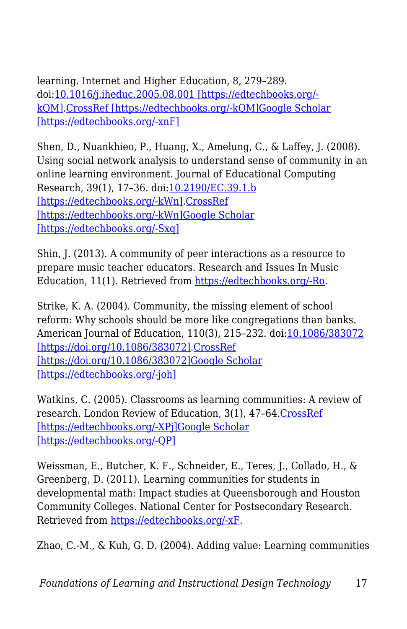learning. Internet and Higher Education, 8, 279–289. doi[:10.1016/j.iheduc.2005.08.001 \[https://edtechbooks.org/](https://doi.org/10.1016/j.iheduc.2005.08.001) [kQM\].CrossRef \[https://edtechbooks.org/-kQM\]](https://doi.org/10.1016/j.iheduc.2005.08.001)[Google Scholar](http://scholar.google.com/scholar_lookup?title=Post-secondary%20educators%E2%80%99%20professional%20development%3A%20Investigation%20of%20an%20online%20approach%20to%20enhancing%20teaching%20and%20learning&author=L.%20Schrum&author=MD.%20Burbank&author=J.%20Engle&author=JA.%20Chambers&author=KF.%20Glassett&journal=Internet%20and%20Higher%20Education&volume=8&pages=279-289&publication_year=2005&doi=10.1016%2Fj.iheduc.2005.08.001) [\[https://edtechbooks.org/-xnF\]](http://scholar.google.com/scholar_lookup?title=Post-secondary%20educators%E2%80%99%20professional%20development%3A%20Investigation%20of%20an%20online%20approach%20to%20enhancing%20teaching%20and%20learning&author=L.%20Schrum&author=MD.%20Burbank&author=J.%20Engle&author=JA.%20Chambers&author=KF.%20Glassett&journal=Internet%20and%20Higher%20Education&volume=8&pages=279-289&publication_year=2005&doi=10.1016%2Fj.iheduc.2005.08.001)

Shen, D., Nuankhieo, P., Huang, X., Amelung, C., & Laffey, J. (2008). Using social network analysis to understand sense of community in an online learning environment. Journal of Educational Computing Research, 39(1), 17–36. doi[:10.2190/EC.39.1.b](https://doi.org/10.2190/EC.39.1.b) [\[https://edtechbooks.org/-kWn\].CrossRef](https://doi.org/10.2190/EC.39.1.b) [\[https://edtechbooks.org/-kWn\]](https://doi.org/10.2190/EC.39.1.b)[Google Scholar](http://scholar.google.com/scholar_lookup?title=Using%20social%20network%20analysis%20to%20understand%20sense%20of%20community%20in%20an%20online%20learning%20environment&author=D.%20Shen&author=P.%20Nuankhieo&author=X.%20Huang&author=C.%20Amelung&author=J.%20Laffey&journal=Journal%20of%20Educational%20Computing%20Research&volume=39&issue=1&pages=17-36&publication_year=2008&doi=10.2190%2FEC.39.1.b) [\[https://edtechbooks.org/-Sxq\]](http://scholar.google.com/scholar_lookup?title=Using%20social%20network%20analysis%20to%20understand%20sense%20of%20community%20in%20an%20online%20learning%20environment&author=D.%20Shen&author=P.%20Nuankhieo&author=X.%20Huang&author=C.%20Amelung&author=J.%20Laffey&journal=Journal%20of%20Educational%20Computing%20Research&volume=39&issue=1&pages=17-36&publication_year=2008&doi=10.2190%2FEC.39.1.b)

Shin, J. (2013). A community of peer interactions as a resource to prepare music teacher educators. Research and Issues In Music Education, 11(1). Retrieved from [https://edtechbooks.org/-Ro](http://www.stthomas.edu/rimeonline/vol11/shin.htm).

Strike, K. A. (2004). Community, the missing element of school reform: Why schools should be more like congregations than banks. American Journal of Education, 110(3), 215–232. doi[:10.1086/383072](https://doi.org/10.1086/383072) [\[https://doi.org/10.1086/383072\].CrossRef](https://doi.org/10.1086/383072) [\[https://doi.org/10.1086/383072\]](https://doi.org/10.1086/383072)[Google Scholar](http://scholar.google.com/scholar_lookup?title=Community%2C%20the%20missing%20element%20of%20school%20reform%3A%20Why%20schools%20should%20be%20more%20like%20congregations%20than%20banks&author=KA.%20Strike&journal=American%20Journal%20of%20Education&volume=110&issue=3&pages=215-232&publication_year=2004&doi=10.1086%2F383072) [\[https://edtechbooks.org/-joh\]](http://scholar.google.com/scholar_lookup?title=Community%2C%20the%20missing%20element%20of%20school%20reform%3A%20Why%20schools%20should%20be%20more%20like%20congregations%20than%20banks&author=KA.%20Strike&journal=American%20Journal%20of%20Education&volume=110&issue=3&pages=215-232&publication_year=2004&doi=10.1086%2F383072)

Watkins, C. (2005). Classrooms as learning communities: A review of research. London Review of Education, 3(1), 47–64.[CrossRef](https://doi.org/10.1080/14748460500036276) [\[https://edtechbooks.org/-XPj\]](https://doi.org/10.1080/14748460500036276)[Google Scholar](http://scholar.google.com/scholar_lookup?title=Classrooms%20as%20learning%20communities%3A%20A%20review%20of%20research&author=C.%20Watkins&journal=London%20Review%20of%20Education&volume=3&issue=1&pages=47-64&publication_year=2005) [\[https://edtechbooks.org/-QP\]](http://scholar.google.com/scholar_lookup?title=Classrooms%20as%20learning%20communities%3A%20A%20review%20of%20research&author=C.%20Watkins&journal=London%20Review%20of%20Education&volume=3&issue=1&pages=47-64&publication_year=2005)

Weissman, E., Butcher, K. F., Schneider, E., Teres, J., Collado, H., & Greenberg, D. (2011). Learning communities for students in developmental math: Impact studies at Queensborough and Houston Community Colleges. National Center for Postsecondary Research. Retrieved from [https://edtechbooks.org/-xF](http://ssrn.com/abstract=1782120).

Zhao, C.-M., & Kuh, G. D. (2004). Adding value: Learning communities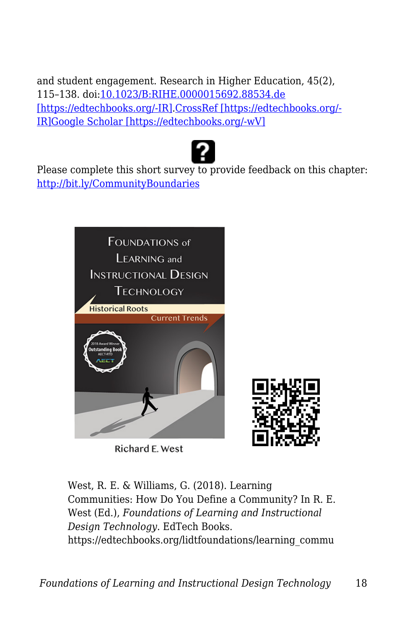and student engagement. Research in Higher Education, 45(2), 115–138. doi:[10.1023/B:RIHE.0000015692.88534.de](https://doi.org/10.1023/B%3ARIHE.0000015692.88534.de) [\[https://edtechbooks.org/-IR\].CrossRef \[https://edtechbooks.org/-](https://doi.org/10.1023/B%3ARIHE.0000015692.88534.de) [IR\]](https://doi.org/10.1023/B%3ARIHE.0000015692.88534.de)[Google Scholar \[https://edtechbooks.org/-wV\]](http://scholar.google.com/scholar_lookup?title=Adding%20value%3A%20Learning%20communities%20and%20student%20engagement&author=C-M.%20Zhao&author=GD.%20Kuh&journal=Research%20in%20Higher%20Education&volume=45&issue=2&pages=115-138&publication_year=2004&doi=10.1023%2FB%3ARIHE.0000015692.88534.de)



Please complete this short survey to provide feedback on this chapter: <http://bit.ly/CommunityBoundaries>



Richard E. West



West, R. E. & Williams, G. (2018). Learning Communities: How Do You Define a Community? In R. E. West (Ed.), *Foundations of Learning and Instructional Design Technology*. EdTech Books. https://edtechbooks.org/lidtfoundations/learning\_commu